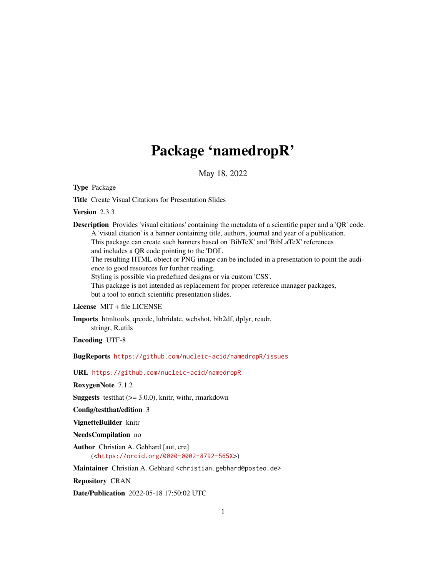## Package 'namedropR'

May 18, 2022

Type Package

Title Create Visual Citations for Presentation Slides

Version 2.3.3

Description Provides 'visual citations' containing the metadata of a scientific paper and a 'QR' code. A 'visual citation' is a banner containing title, authors, journal and year of a publication. This package can create such banners based on 'BibTeX' and 'BibLaTeX' references and includes a QR code pointing to the 'DOI'. The resulting HTML object or PNG image can be included in a presentation to point the audience to good resources for further reading. Styling is possible via predefined designs or via custom 'CSS'. This package is not intended as replacement for proper reference manager packages, but a tool to enrich scientific presentation slides.

License MIT + file LICENSE

Imports htmltools, qrcode, lubridate, webshot, bib2df, dplyr, readr, stringr, R.utils

Encoding UTF-8

BugReports <https://github.com/nucleic-acid/namedropR/issues>

URL <https://github.com/nucleic-acid/namedropR>

RoxygenNote 7.1.2

**Suggests** test that  $(>= 3.0.0)$ , knitr, with r, rmarkdown

Config/testthat/edition 3

VignetteBuilder knitr

NeedsCompilation no

Author Christian A. Gebhard [aut, cre] (<<https://orcid.org/0000-0002-8792-565X>>)

Maintainer Christian A. Gebhard <christian.gebhard@posteo.de>

Repository CRAN

Date/Publication 2022-05-18 17:50:02 UTC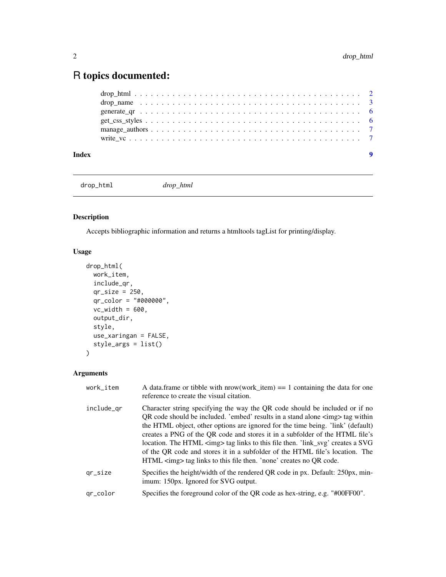### <span id="page-1-0"></span>R topics documented:

#### **Index** [9](#page-8-0)

drop\_html *drop\_html*

#### Description

Accepts bibliographic information and returns a htmltools tagList for printing/display.

#### Usage

```
drop_html(
 work_item,
 include_qr,
  qr_size = 250,
 qr_color = "#000000",
 vc_width = 600,output_dir,
  style,
 use_xaringan = FALSE,
 style_args = list()
\mathcal{L}
```
#### Arguments

| work_item  | A data.frame or tibble with $nrow(word_item) == 1$ containing the data for one<br>reference to create the visual citation.                                                                                                                                                                                                                                                                                                                                                                                                                                                                       |
|------------|--------------------------------------------------------------------------------------------------------------------------------------------------------------------------------------------------------------------------------------------------------------------------------------------------------------------------------------------------------------------------------------------------------------------------------------------------------------------------------------------------------------------------------------------------------------------------------------------------|
| include_qr | Character string specifying the way the QR code should be included or if no<br>QR code should be included. 'embed' results in a stand alone $\langle \text{img} \rangle$ tag within<br>the HTML object, other options are ignored for the time being. 'link' (default)<br>creates a PNG of the QR code and stores it in a subfolder of the HTML file's<br>location. The HTML <img/> tag links to this file then. 'link_svg' creates a SVG<br>of the QR code and stores it in a subfolder of the HTML file's location. The<br>HTML <img/> tag links to this file then. 'none' creates no QR code. |
| $qr\_size$ | Specifies the height/width of the rendered QR code in px. Default: 250px, min-<br>imum: 150px. Ignored for SVG output.                                                                                                                                                                                                                                                                                                                                                                                                                                                                           |
| gr_color   | Specifies the foreground color of the QR code as hex-string, e.g. "#00FF00".                                                                                                                                                                                                                                                                                                                                                                                                                                                                                                                     |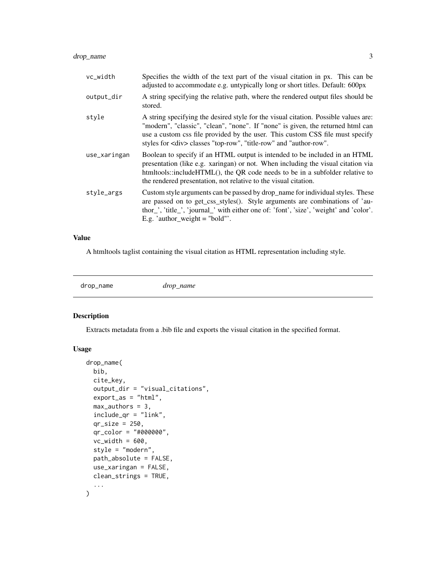#### <span id="page-2-0"></span>drop\_name 3

| vc_width     | Specifies the width of the text part of the visual citation in px. This can be<br>adjusted to accommodate e.g. untypically long or short titles. Default: 600px                                                                                                                                                                    |
|--------------|------------------------------------------------------------------------------------------------------------------------------------------------------------------------------------------------------------------------------------------------------------------------------------------------------------------------------------|
| output_dir   | A string specifying the relative path, where the rendered output files should be<br>stored.                                                                                                                                                                                                                                        |
| style        | A string specifying the desired style for the visual citation. Possible values are:<br>"modern", "classic", "clean", "none". If "none" is given, the returned html can<br>use a custom css file provided by the user. This custom CSS file must specify<br>styles for <div> classes "top-row", "title-row" and "author-row".</div> |
| use_xaringan | Boolean to specify if an HTML output is intended to be included in an HTML<br>presentation (like e.g. xaringan) or not. When including the visual citation via<br>htmltools::includeHTML(), the QR code needs to be in a subfolder relative to<br>the rendered presentation, not relative to the visual citation.                  |
| style_args   | Custom style arguments can be passed by drop_name for individual styles. These<br>are passed on to get_css_styles(). Style arguments are combinations of 'au-<br>thor_', 'title_', 'journal_' with either one of: 'font', 'size', 'weight' and 'color'.<br>E.g. 'author_weight = "bold"'.                                          |

#### Value

A htmltools taglist containing the visual citation as HTML representation including style.

drop\_name *drop\_name*

#### Description

Extracts metadata from a .bib file and exports the visual citation in the specified format.

#### Usage

```
drop_name(
 bib,
  cite_key,
  output_dir = "visual_citations",
  export_as = "html",max_authors = 3,
  include_qr = "link",
  qr_size = 250,
  qr_color = "#000000",
  vc\_width = 600,style = "modern",
 path_absolute = FALSE,
  use_xaringan = FALSE,
 clean_strings = TRUE,
  ...
)
```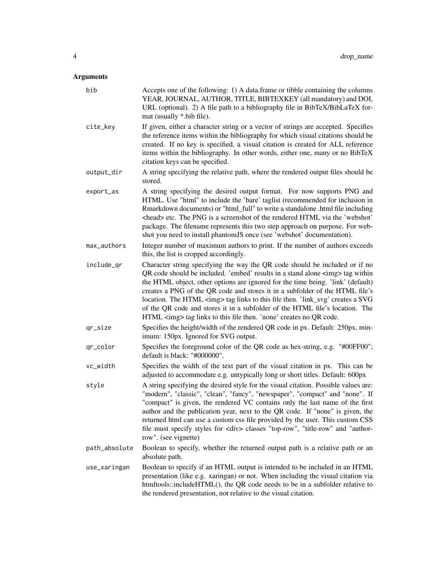#### Arguments

| bib           | Accepts one of the following: 1) A data.frame or tibble containing the columns<br>YEAR, JOURNAL, AUTHOR, TITLE, BIBTEXKEY (all mandatory) and DOI,<br>URL (optional). 2) A file path to a bibliography file in BibTeX/BibLaTeX for-<br>mat (usually *.bib file).                                                                                                                                                                                                                                                                                                           |
|---------------|----------------------------------------------------------------------------------------------------------------------------------------------------------------------------------------------------------------------------------------------------------------------------------------------------------------------------------------------------------------------------------------------------------------------------------------------------------------------------------------------------------------------------------------------------------------------------|
| cite_key      | If given, either a character string or a vector of strings are accepted. Specifies<br>the reference items within the bibliography for which visual citations should be<br>created. If no key is specified, a visual citation is created for ALL reference<br>items within the bibliography. In other words, either one, many or no BibTeX<br>citation keys can be specified.                                                                                                                                                                                               |
| output_dir    | A string specifying the relative path, where the rendered output files should be<br>stored.                                                                                                                                                                                                                                                                                                                                                                                                                                                                                |
| export_as     | A string specifying the desired output format. For now supports PNG and<br>HTML. Use "html" to include the 'bare' taglist (recommended for inclusion in<br>Rmarkdown documents) or "html_full" to write a standalone .html file including<br><head> etc. The PNG is a screenshot of the rendered HTML via the 'webshot'<br/>package. The filename represents this two step approach on purpose. For web-<br/>shot you need to install phantomJS once (see 'webshot' documentation).</head>                                                                                 |
| max_authors   | Integer number of maximum authors to print. If the number of authors exceeds<br>this, the list is cropped accordingly.                                                                                                                                                                                                                                                                                                                                                                                                                                                     |
| include_qr    | Character string specifying the way the QR code should be included or if no<br>QR code should be included. 'embed' results in a stand alone <img/> tag within<br>the HTML object, other options are ignored for the time being. 'link' (default)<br>creates a PNG of the QR code and stores it in a subfolder of the HTML file's<br>location. The HTML <img/> tag links to this file then. 'link_svg' creates a SVG<br>of the QR code and stores it in a subfolder of the HTML file's location. The<br>HTML <img/> tag links to this file then. 'none' creates no QR code. |
| qr_size       | Specifies the height/width of the rendered QR code in px. Default: 250px, min-<br>imum: 150px. Ignored for SVG output.                                                                                                                                                                                                                                                                                                                                                                                                                                                     |
| qr_color      | Specifies the foreground color of the QR code as hex-string, e.g. "#00FF00";<br>default is black: "#000000".                                                                                                                                                                                                                                                                                                                                                                                                                                                               |
| vc_width      | Specifies the width of the text part of the visual citation in px. This can be<br>adjusted to accommodate e.g. untypically long or short titles. Default: 600px                                                                                                                                                                                                                                                                                                                                                                                                            |
| style         | A string specifying the desired style for the visual citation. Possible values are:<br>"modern", "classic", "clean", "fancy", "newspaper", "compact" and "none". If<br>"compact" is given, the rendered VC contains only the last name of the first<br>author and the publication year, next to the QR code. If "none" is given, the<br>returned html can use a custom css file provided by the user. This custom CSS<br>file must specify styles for <div> classes "top-row", "title-row" and "author-<br/>row". (see vignette)</div>                                     |
| path_absolute | Boolean to specify, whether the returned output path is a relative path or an<br>absolute path.                                                                                                                                                                                                                                                                                                                                                                                                                                                                            |
| use_xaringan  | Boolean to specify if an HTML output is intended to be included in an HTML<br>presentation (like e.g. xaringan) or not. When including the visual citation via<br>htmltools::includeHTML(), the QR code needs to be in a subfolder relative to<br>the rendered presentation, not relative to the visual citation.                                                                                                                                                                                                                                                          |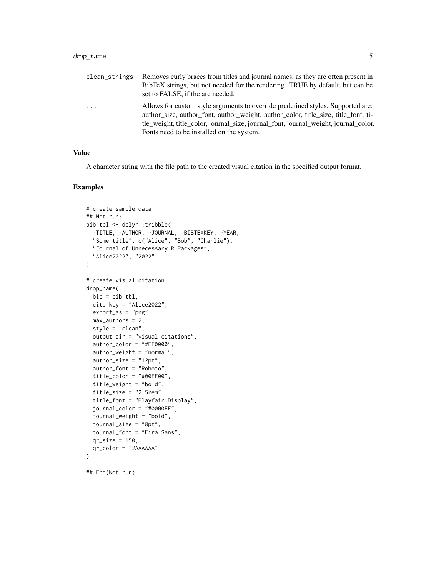#### drop\_name 5

| clean_strings | Removes curly braces from titles and journal names, as they are often present in<br>BibTeX strings, but not needed for the rendering. TRUE by default, but can be<br>set to FALSE, if the are needed.                                                                                                     |
|---------------|-----------------------------------------------------------------------------------------------------------------------------------------------------------------------------------------------------------------------------------------------------------------------------------------------------------|
| $\ddots$ .    | Allows for custom style arguments to override predefined styles. Supported are:<br>author_size, author_font, author_weight, author_color, title_size, title_font, ti-<br>tle_weight, title_color, journal_size, journal_font, journal_weight, journal_color.<br>Fonts need to be installed on the system. |

#### Value

A character string with the file path to the created visual citation in the specified output format.

#### Examples

```
# create sample data
## Not run:
bib_tbl <- dplyr::tribble(
  ~TITLE, ~AUTHOR, ~JOURNAL, ~BIBTEXKEY, ~YEAR,
  "Some title", c("Alice", "Bob", "Charlie"),
  "Journal of Unnecessary R Packages",
  "Alice2022", "2022"
\mathcal{L}# create visual citation
drop_name(
  bib = bib_tbl,
  cite_key = "Alice2022",
  export_as = "png",
  max_authors = 2,
  style = "clean",
  output_dir = "visual_citations",
  author_color = "#FF0000",
  author_weight = "normal",
  author_size = "12pt",
  author_font = "Roboto",
  title_color = "#00FF00",
  title_weight = "bold",
  title_size = "2.5rem",
  title_font = "Playfair Display",
  journal_color = "#0000FF",
  journal_weight = "bold",
  journal_size = "8pt",
  journal_font = "Fira Sans",
  qr_size = 150,
  qr_color = "#AAAAAA"
\overline{)}
```
## End(Not run)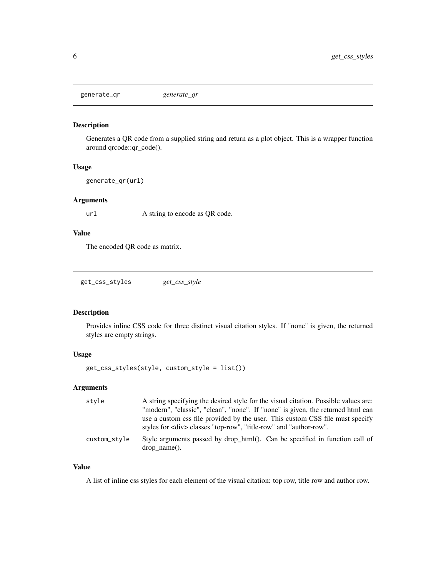<span id="page-5-0"></span>generate\_qr *generate\_qr*

#### Description

Generates a QR code from a supplied string and return as a plot object. This is a wrapper function around qrcode::qr\_code().

#### Usage

generate\_qr(url)

#### Arguments

url A string to encode as QR code.

#### Value

The encoded QR code as matrix.

get\_css\_styles *get\_css\_style*

#### Description

Provides inline CSS code for three distinct visual citation styles. If "none" is given, the returned styles are empty strings.

#### Usage

```
get_css_styles(style, custom_style = list())
```
#### Arguments

| style        | A string specifying the desired style for the visual citation. Possible values are:                                                                      |
|--------------|----------------------------------------------------------------------------------------------------------------------------------------------------------|
|              | "modern", "classic", "clean", "none". If "none" is given, the returned html can                                                                          |
|              | use a custom css file provided by the user. This custom CSS file must specify<br>styles for <div> classes "top-row", "title-row" and "author-row".</div> |
| custom_style | Style arguments passed by drop_html(). Can be specified in function call of<br>$drop name()$ .                                                           |

#### Value

A list of inline css styles for each element of the visual citation: top row, title row and author row.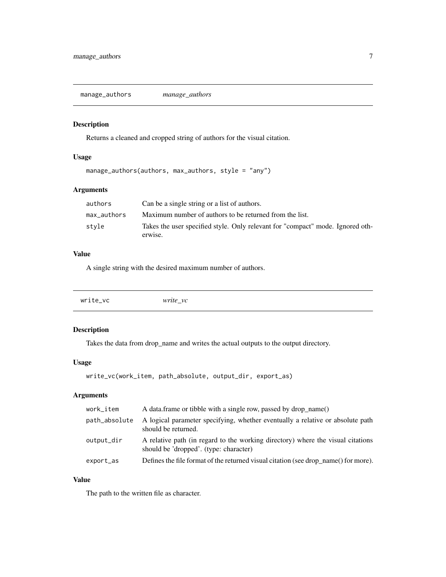<span id="page-6-0"></span>manage\_authors *manage\_authors*

#### Description

Returns a cleaned and cropped string of authors for the visual citation.

#### Usage

manage\_authors(authors, max\_authors, style = "any")

#### Arguments

| authors     | Can be a single string or a list of authors.                                              |
|-------------|-------------------------------------------------------------------------------------------|
| max authors | Maximum number of authors to be returned from the list.                                   |
| stvle       | Takes the user specified style. Only relevant for "compact" mode. Ignored oth-<br>erwise. |

#### Value

A single string with the desired maximum number of authors.

| write_vc | write vc |  |
|----------|----------|--|
|          |          |  |

#### Description

Takes the data from drop\_name and writes the actual outputs to the output directory.

#### Usage

```
write_vc(work_item, path_absolute, output_dir, export_as)
```
#### Arguments

| work_item     | A data frame or tibble with a single row, passed by drop name()                                                           |
|---------------|---------------------------------------------------------------------------------------------------------------------------|
| path_absolute | A logical parameter specifying, whether eventually a relative or absolute path<br>should be returned.                     |
| output_dir    | A relative path (in regard to the working directory) where the visual citations<br>should be 'dropped'. (type: character) |
| export_as     | Defines the file format of the returned visual citation (see drop_name() for more).                                       |

#### Value

The path to the written file as character.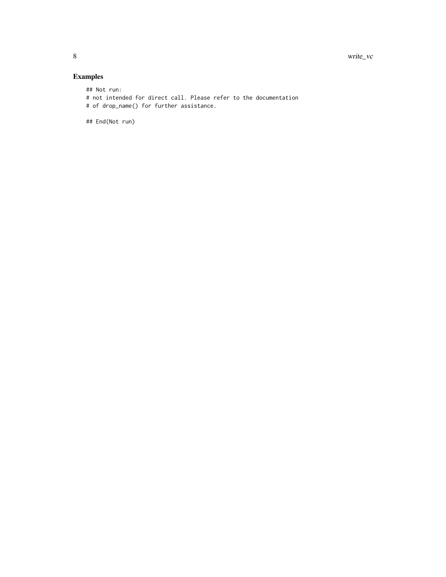#### Examples

## Not run:

- # not intended for direct call. Please refer to the documentation
- # of drop\_name() for further assistance.

## End(Not run)